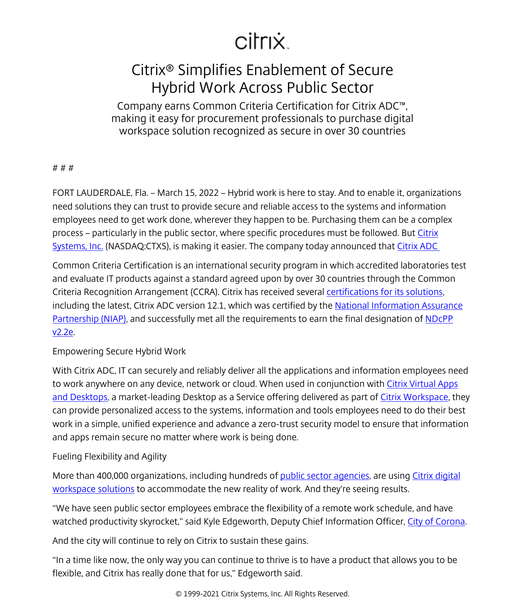# citrix.

# Citrix® Simplifies Enablement of Secure Hybrid Work Across Public Sector

Company earns Common Criteria Certification for Citrix ADC™, making it easy for procurement professionals to purchase digital workspace solution recognized as secure in over 30 countries

#### # # #

FORT LAUDERDALE, Fla. – March 15, 2022 – Hybrid work is here to stay. And to enable it, organizations need solutions they can trust to provide secure and reliable access to the systems and information employees need to get work done, wherever they happen to be. Purchasing them can be a complex process – particularly in the public sector, where specific procedures must be followed. But *[Citrix](http://www.citrix.com/)* [Systems, Inc.](http://www.citrix.com/) (NASDAQ:CTXS), is making it easier. The company today announced that Citrix ADC

Common Criteria Certification is an international security program in which accredited laboratories test and evaluate IT products against a standard agreed upon by over 30 countries through the Common Criteria Recognition Arrangement (CCRA). Citrix has received several [certifications for its solutions,](/content/citrix/es-es/about/legal/security-compliance/common-criteria.html) including the latest, Citrix ADC version 12.1, which was certified by the [National Information Assurance](https://nam04.safelinks.protection.outlook.com/?url=https%3A%2F%2Fwww.niap-ccevs.org%2F&data=04%7C01%7Ckaren.master%40citrix.com%7C858d74c9f05a4d4d5fac08d9fb7a5c81%7C335836de42ef43a2b145348c2ee9ca5b%7C0%7C0%7C637817325692074534%7CUnknown%7CTWFpbGZsb3d8eyJWIjoiMC4wLjAwMDAiLCJQIjoiV2luMzIiLCJBTiI6Ik1haWwiLCJXVCI6Mn0%3D%7C3000&sdata=g%2FEazDk%2BIkxewQA%2F2%2B6wIYSZS6Xu2NyFp5YwARJ6rec%3D&reserved=0) [Partnership \(NIAP\)](https://nam04.safelinks.protection.outlook.com/?url=https%3A%2F%2Fwww.niap-ccevs.org%2F&data=04%7C01%7Ckaren.master%40citrix.com%7C858d74c9f05a4d4d5fac08d9fb7a5c81%7C335836de42ef43a2b145348c2ee9ca5b%7C0%7C0%7C637817325692074534%7CUnknown%7CTWFpbGZsb3d8eyJWIjoiMC4wLjAwMDAiLCJQIjoiV2luMzIiLCJBTiI6Ik1haWwiLCJXVCI6Mn0%3D%7C3000&sdata=g%2FEazDk%2BIkxewQA%2F2%2B6wIYSZS6Xu2NyFp5YwARJ6rec%3D&reserved=0), and successfully met all the requirements to earn the final designation of [NDcPP](https://www.niap-ccevs.org/Profile/Info.cfm?PPID=447&id=447) [v2.2e.](https://www.niap-ccevs.org/Profile/Info.cfm?PPID=447&id=447)

## Empowering Secure Hybrid Work

With Citrix ADC, IT can securely and reliably deliver all the applications and information employees need to work anywhere on any device, network or cloud. When used in conjunction with [Citrix Virtual Apps](/content/citrix/es-es/products/citrix-virtual-apps-and-desktops.html) [and Desktops](/content/citrix/es-es/products/citrix-virtual-apps-and-desktops.html), a market-leading Desktop as a Service offering delivered as part of [Citrix Workspace](/content/citrix/es-es/products/citrix-workspace.html), they can provide personalized access to the systems, information and tools employees need to do their best work in a simple, unified experience and advance a zero-trust security model to ensure that information and apps remain secure no matter where work is being done.

## Fueling Flexibility and Agility

More than 400,000 organizations, including hundreds of [public sector agencies,](/content/citrix/es-es/customers/all.html#product=all-product&industry=government&solution=all-solution) are using [Citrix digital](/content/citrix/es-es/products.html) [workspace solutions](/content/citrix/es-es/products.html) to accommodate the new reality of work. And they're seeing results.

"We have seen public sector employees embrace the flexibility of a remote work schedule, and have watched productivity skyrocket," said Kyle Edgeworth, Deputy Chief Information Officer, City of Corona.

And the city will continue to rely on Citrix to sustain these gains.

"In a time like now, the only way you can continue to thrive is to have a product that allows you to be flexible, and Citrix has really done that for us," Edgeworth said.

© 1999-2021 Citrix Systems, Inc. All Rights Reserved.